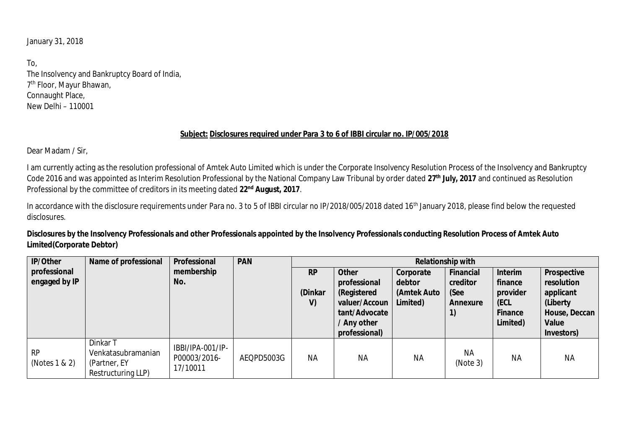January 31, 2018

To, The Insolvency and Bankruptcy Board of India, 7 th Floor, Mayur Bhawan, Connaught Place, New Delhi – 110001

## **Subject: Disclosures required under Para 3 to 6 of IBBI circular no. IP/005/2018**

Dear Madam / Sir,

I am currently acting as the resolution professional of Amtek Auto Limited which is under the Corporate Insolvency Resolution Process of the Insolvency and Bankruptcy Code 2016 and was appointed as Interim Resolution Professional by the National Company Law Tribunal by order dated **27th July, 2017** and continued as Resolution Professional by the committee of creditors in its meeting dated **22nd August, 2017**.

In accordance with the disclosure requirements under Para no. 3 to 5 of IBBI circular no IP/2018/005/2018 dated 16<sup>th</sup> January 2018, please find below the requested disclosures.

**Disclosures by the Insolvency Professionals and other Professionals appointed by the Insolvency Professionals conducting Resolution Process of Amtek Auto Limited(Corporate Debtor)**

| IP/Other            | Name of professional                                                  | Professional                                 | <b>PAN</b> | Relationship with |               |             |                       |           |               |
|---------------------|-----------------------------------------------------------------------|----------------------------------------------|------------|-------------------|---------------|-------------|-----------------------|-----------|---------------|
| professional        |                                                                       | membership                                   |            | <b>RP</b>         | Other         | Corporate   | Financial             | Interim   | Prospective   |
| engaged by IP       |                                                                       | No.                                          |            |                   | professional  | debtor      | creditor              | finance   | resolution    |
|                     |                                                                       |                                              |            | (Dinkar           | (Registered   | (Amtek Auto | (See                  | provider  | applicant     |
|                     |                                                                       |                                              |            | V)                | valuer/Accoun | Limited)    | Annexure              | (ECL      | (Liberty      |
|                     |                                                                       |                                              |            |                   | tant/Advocate |             |                       | Finance   | House, Deccan |
|                     |                                                                       |                                              |            |                   | / Any other   |             |                       | Limited)  | Value         |
|                     |                                                                       |                                              |            |                   | professional) |             |                       |           | Investors)    |
| RP<br>(Notes 1 & 2) | Dinkar T<br>Venkatasubramanian<br>(Partner, EY)<br>Restructuring LLP) | IBBI/IPA-001/IP-<br>P00003/2016-<br>17/10011 | AEQPD5003G | <b>NA</b>         | <b>NA</b>     | <b>NA</b>   | <b>NA</b><br>(Note 3) | <b>NA</b> | <b>NA</b>     |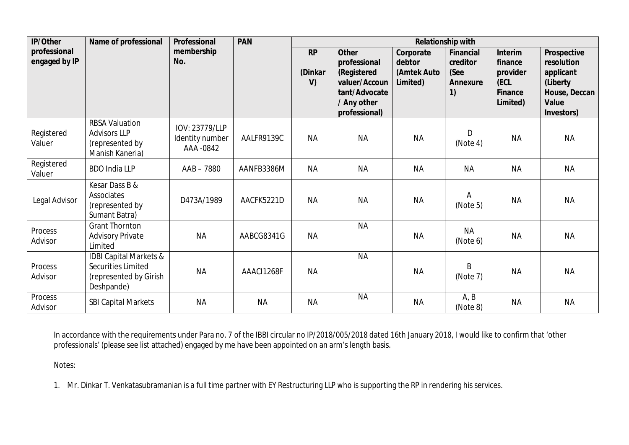| IP/Other             | Name of professional                         | Professional    | PAN        | Relationship with |                                |             |           |                     |                        |
|----------------------|----------------------------------------------|-----------------|------------|-------------------|--------------------------------|-------------|-----------|---------------------|------------------------|
| professional         |                                              | membership      |            | <b>RP</b>         | Other                          | Corporate   | Financial | Interim             | Prospective            |
| engaged by IP        |                                              | No.             |            |                   | professional                   | debtor      | creditor  | finance             | resolution             |
|                      |                                              |                 |            | (Dinkar           | (Registered                    | (Amtek Auto | (See      | provider            | applicant              |
|                      |                                              |                 |            | V)                | valuer/Accoun<br>tant/Advocate | Limited)    | Annexure  | (ECL                | (Liberty               |
|                      |                                              |                 |            |                   | / Any other                    |             | 1)        | Finance<br>Limited) | House, Deccan<br>Value |
|                      |                                              |                 |            |                   | professional)                  |             |           |                     | Investors)             |
|                      | <b>RBSA Valuation</b>                        | IOV: 23779/LLP  |            |                   |                                |             |           |                     |                        |
| Registered           | <b>Advisors LLP</b>                          | Identity number | AALFR9139C | <b>NA</b>         | <b>NA</b>                      | <b>NA</b>   | D         | <b>NA</b>           | <b>NA</b>              |
| Valuer               | (represented by                              | AAA -0842       |            |                   |                                |             | (Note 4)  |                     |                        |
|                      | Manish Kaneria)                              |                 |            |                   |                                |             |           |                     |                        |
| Registered<br>Valuer | <b>BDO India LLP</b>                         | AAB-7880        | AANFB3386M | <b>NA</b>         | <b>NA</b>                      | <b>NA</b>   | <b>NA</b> | <b>NA</b>           | <b>NA</b>              |
|                      | Kesar Dass B &                               |                 |            |                   |                                |             |           |                     |                        |
|                      | Associates                                   |                 |            |                   |                                |             | Α         |                     |                        |
| Legal Advisor        | (represented by                              | D473A/1989      | AACFK5221D | <b>NA</b>         | <b>NA</b>                      | <b>NA</b>   | (Note 5)  | <b>NA</b>           | <b>NA</b>              |
|                      | Sumant Batra)                                |                 |            |                   |                                |             |           |                     |                        |
| Process              | <b>Grant Thornton</b>                        |                 |            |                   | <b>NA</b>                      |             | <b>NA</b> |                     |                        |
| Advisor              | <b>Advisory Private</b>                      | <b>NA</b>       | AABCG8341G | <b>NA</b>         |                                | <b>NA</b>   | (Note 6)  | <b>NA</b>           | <b>NA</b>              |
|                      | Limited                                      |                 |            |                   |                                |             |           |                     |                        |
| Process              | IDBI Capital Markets &                       |                 |            |                   | <b>NA</b>                      |             | B         |                     |                        |
| Advisor              | Securities Limited<br>(represented by Girish | <b>NA</b>       | AAACI1268F | <b>NA</b>         |                                | <b>NA</b>   | (Note 7)  | <b>NA</b>           | <b>NA</b>              |
|                      | Deshpande)                                   |                 |            |                   |                                |             |           |                     |                        |
| Process              |                                              |                 |            |                   | <b>NA</b>                      |             | A, B      |                     |                        |
| Advisor              | <b>SBI Capital Markets</b>                   | <b>NA</b>       | <b>NA</b>  | <b>NA</b>         |                                | <b>NA</b>   | (Note 8)  | <b>NA</b>           | <b>NA</b>              |

In accordance with the requirements under Para no. 7 of the IBBI circular no IP/2018/005/2018 dated 16th January 2018, I would like to confirm that 'other professionals' (please see list attached) engaged by me have been appointed on an arm's length basis.

Notes:

1. Mr. Dinkar T. Venkatasubramanian is a full time partner with EY Restructuring LLP who is supporting the RP in rendering his services.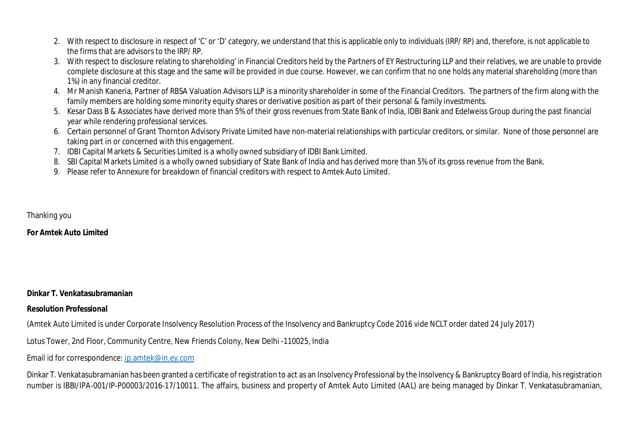- 2. With respect to disclosure in respect of 'C' or 'D' category, we understand that this is applicable only to individuals (IRP/ RP) and, therefore, is not applicable to the firms that are advisors to the IRP/ RP.
- 3. With respect to disclosure relating to shareholding' in Financial Creditors held by the Partners of EY Restructuring LLP and their relatives, we are unable to provide complete disclosure at this stage and the same will be provided in due course. However, we can confirm that no one holds any material shareholding (more than 1%) in any financial creditor.
- 4. Mr Manish Kaneria, Partner of RBSA Valuation Advisors LLP is a minority shareholder in some of the Financial Creditors. The partners of the firm along with the family members are holding some minority equity shares or derivative position as part of their personal & family investments.
- 5. Kesar Dass B & Associates have derived more than 5% of their gross revenues from State Bank of India, IDBI Bank and Edelweiss Group during the past financial year while rendering professional services.
- 6. Certain personnel of Grant Thornton Advisory Private Limited have non-material relationships with particular creditors, or similar. None of those personnel are taking part in or concerned with this engagement.
- 7. IDBI Capital Markets & Securities Limited is a wholly owned subsidiary of IDBI Bank Limited.
- 8. SBI Capital Markets Limited is a wholly owned subsidiary of State Bank of India and has derived more than 5% of its gross revenue from the Bank.
- 9. Please refer to Annexure for breakdown of financial creditors with respect to Amtek Auto Limited.

Thanking you

**For Amtek Auto Limited**

**Dinkar T. Venkatasubramanian**

**Resolution Professional**

(Amtek Auto Limited is under Corporate Insolvency Resolution Process of the Insolvency and Bankruptcy Code 2016 vide NCLT order dated 24 July 2017)

Lotus Tower, 2nd Floor, Community Centre, New Friends Colony, New Delhi -110025, India

Email id for correspondence: ip.amtek@in.ey.com

Dinkar T. Venkatasubramanian has been granted a certificate of registration to act as an Insolvency Professional by the Insolvency & Bankruptcy Board of India, his registration number is IBBI/IPA-001/IP-P00003/2016-17/10011. The affairs, business and property of Amtek Auto Limited (AAL) are being managed by Dinkar T. Venkatasubramanian,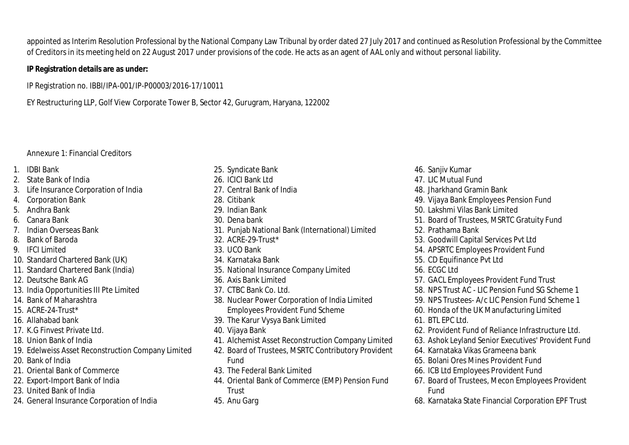appointed as Interim Resolution Professional by the National Company Law Tribunal by order dated 27 July 2017 and continued as Resolution Professional by the Committee of Creditors in its meeting held on 22 August 2017 under provisions of the code. He acts as an agent of AAL only and without personal liability.

**IP Registration details are as under:**

IP Registration no. IBBI/IPA-001/IP-P00003/2016-17/10011

EY Restructuring LLP, Golf View Corporate Tower B, Sector 42, Gurugram, Haryana, 122002

## Annexure 1: Financial Creditors

- 1. IDBI Bank
- 2. State Bank of India
- 3. Life Insurance Corporation of India
- 4. Corporation Bank
- 5. Andhra Bank
- 6. Canara Bank
- 7. Indian Overseas Bank
- 8. Bank of Baroda
- 9. IFCI Limited
- 10. Standard Chartered Bank (UK)
- 11. Standard Chartered Bank (India)
- 12. Deutsche Bank AG
- 13. India Opportunities III Pte Limited
- 14. Bank of Maharashtra
- 15. ACRE-24-Trust\*
- 16. Allahabad bank
- 17. K.G Finvest Private Ltd.
- 18. Union Bank of India
- 19. Edelweiss Asset Reconstruction Company Limited
- 20. Bank of India
- 21. Oriental Bank of Commerce
- 22. Export-Import Bank of India
- 23. United Bank of India
- 24. General Insurance Corporation of India
- 25. Syndicate Bank
- 26. ICICI Bank Ltd
- 27. Central Bank of India
- 28. Citibank
- 29. Indian Bank
- 30. Dena bank
- 31. Punjab National Bank (International) Limited
- 32. ACRE-29-Trust\*
- 33. UCO Bank
- 34. Karnataka Bank
- 35. National Insurance Company Limited
- 36. Axis Bank Limited
- 37. CTBC Bank Co. Ltd.
- 38. Nuclear Power Corporation of India Limited Employees Provident Fund Scheme
- 39. The Karur Vysya Bank Limited
- 40. Vijaya Bank
- 41. Alchemist Asset Reconstruction Company Limited
- 42. Board of Trustees, MSRTC Contributory Provident Fund
- 43. The Federal Bank Limited
- 44. Oriental Bank of Commerce (EMP) Pension Fund Trust
- 45. Anu Garg
- 46. Sanjiv Kumar
- 47. LIC Mutual Fund
- 48. Jharkhand Gramin Bank
- 49. Vijaya Bank Employees Pension Fund
- 50. Lakshmi Vilas Bank Limited
- 51. Board of Trustees, MSRTC Gratuity Fund
- 52. Prathama Bank
- 53. Goodwill Capital Services Pvt Ltd
- 54. APSRTC Employees Provident Fund
- 55. CD Equifinance Pvt Ltd
- 56. ECGC Ltd
- 57. GACL Employees Provident Fund Trust
- 58. NPS Trust AC LIC Pension Fund SG Scheme 1
- 59. NPS Trustees- A/c LIC Pension Fund Scheme 1
- 60. Honda of the UK Manufacturing Limited
- 61. BTL EPC Ltd.
- 62. Provident Fund of Reliance Infrastructure Ltd.
- 63. Ashok Leyland Senior Executives' Provident Fund
- 64. Karnataka Vikas Grameena bank
- 65. Bolani Ores Mines Provident Fund
- 66. ICB Ltd Employees Provident Fund
- 67. Board of Trustees, Mecon Employees Provident Fund
- 68. Karnataka State Financial Corporation EPF Trust